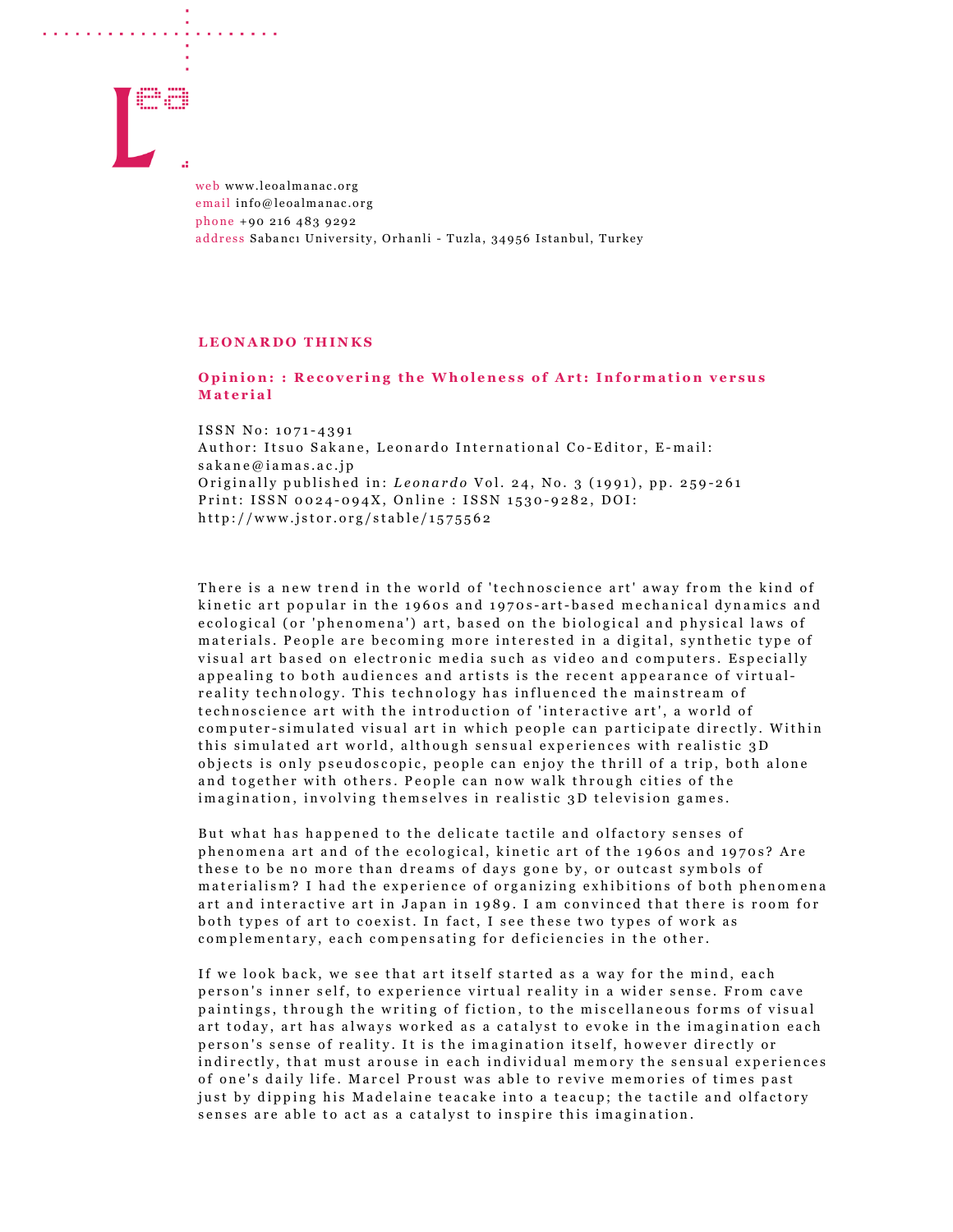

a construction of the construction of the construction of the construction of the construction of the construction of the construction of the construction of the construction of the construction of the construction of the

web www.leoalmanac.org email info@leoalmanac.org phone +90 216 483 9292 address Sabancı University, Orhanli - Tuzla, 34956 Istanbul, Turkey

## LEONARDO THINKS

## Opinion: : Recovering the Wholeness of Art: Information versus **Material**

ISSN No: 1071-4391 Author: Itsuo Sakane, Leonardo International Co-Editor, E-mail: s a k a n e @ i a m a s . a c . j p Originally published in: Leonardo Vol. 24, No. 3 (1991), pp. 259-261 Print: ISSN 0024-094X, Online : ISSN 1530-9282, DOI:  $http://www.jstor.org/stable/1575562$ 

There is a new trend in the world of 'technoscience art' away from the kind of kinetic art popular in the 1960s and 1970s-art-based mechanical dynamics and ecological (or 'phenomena') art, based on the biological and physical laws of materials. People are becoming more interested in a digital, synthetic type of visual art based on electronic media such as video and computers. Especially appealing to both audiences and artists is the recent appearance of virtualreality technology. This technology has influenced the mainstream of technoscience art with the introduction of 'interactive art', a world of computer-simulated visual art in which people can participate directly. Within this simulated art world, although sensual experiences with realistic 3D objects is only pseudoscopic, people can enjoy the thrill of a trip, both alone and together with others. People can now walk through cities of the imagination, involving themselves in realistic 3D television games.

But what has happened to the delicate tactile and olfactory senses of phenomena art and of the ecological, kinetic art of the 1960s and 1970s? Are these to be no more than dreams of days gone by, or outcast symbols of materialism? I had the experience of organizing exhibitions of both phenomena art and interactive art in Japan in 1989. I am convinced that there is room for both types of art to coexist. In fact, I see these two types of work as complementary, each compensating for deficiencies in the other.

If we look back, we see that art itself started as a way for the mind, each person's inner self, to experience virtual reality in a wider sense. From cave paintings, through the writing of fiction, to the miscellaneous forms of visual art today, art has always worked as a catalyst to evoke in the imagination each person's sense of reality. It is the imagination itself, however directly or indirectly, that must arouse in each individual memory the sensual experiences of one's daily life. Marcel Proust was able to revive memories of times past just by dipping his Madelaine teacake into a teacup; the tactile and olfactory senses are able to act as a catalyst to inspire this imagination.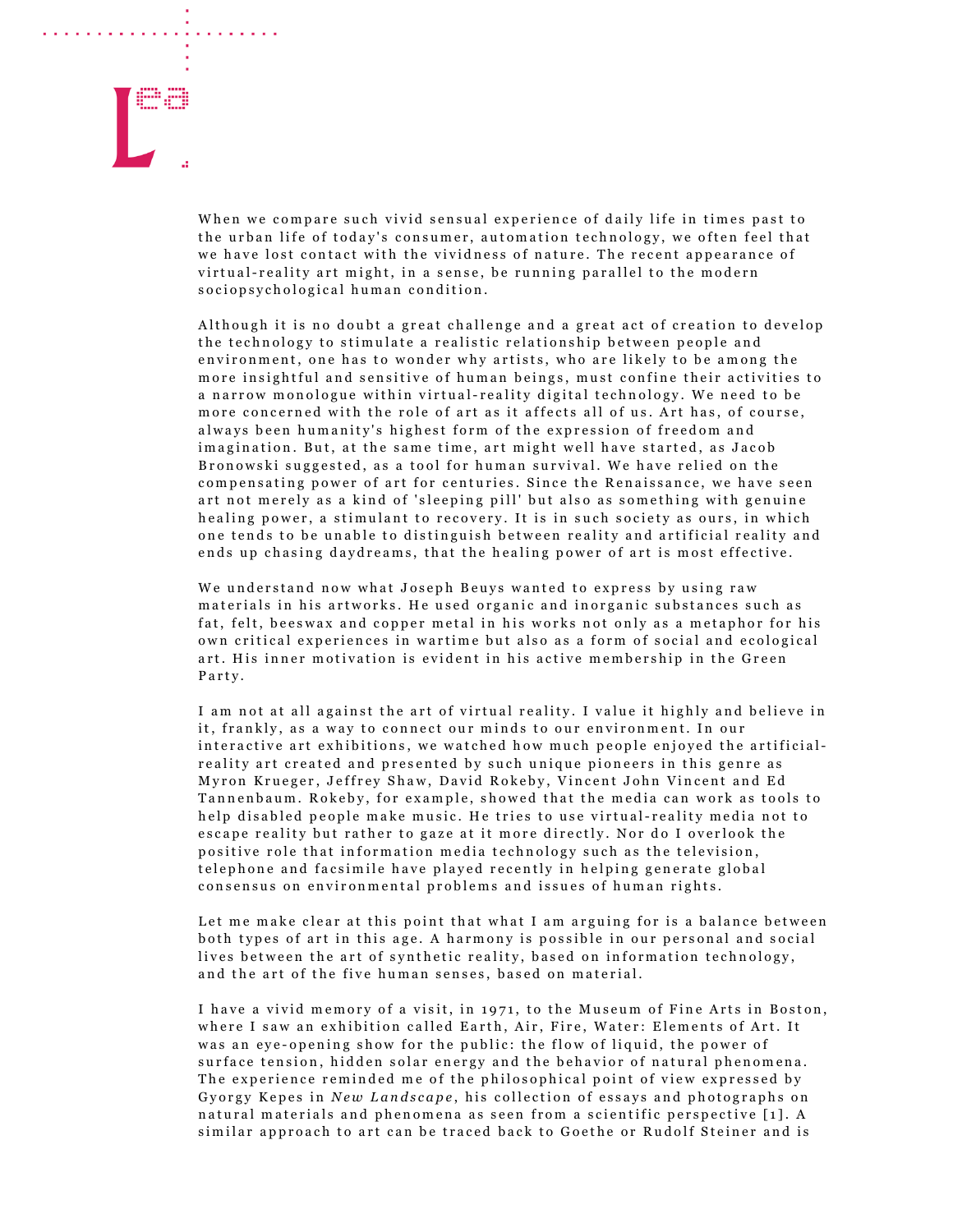

a construction of the construction of the construction of the construction of the construction of the construction of the construction of the construction of the construction of the construction of the construction of the

When we compare such vivid sensual experience of daily life in times past to the urban life of today's consumer, automation technology, we often feel that we have lost contact with the vividness of nature. The recent appearance of virtual-reality art might, in a sense, be running parallel to the modern sociopsychological human condition.

Although it is no doubt a great challenge and a great act of creation to develop the technology to stimulate a realistic relationship between people and environment, one has to wonder why artists, who are likely to be among the more insightful and sensitive of human beings, must confine their activities to a narrow monologue within virtual-reality digital technology. We need to be more concerned with the role of art as it affects all of us. Art has, of course, always been humanity's highest form of the expression of freedom and imagination. But, at the same time, art might well have started, as Jacob Bronowski suggested, as a tool for human survival. We have relied on the compensating power of art for centuries. Since the Renaissance, we have seen art not merely as a kind of 'sleeping pill' but also as something with genuine healing power, a stimulant to recovery. It is in such society as ours, in which one tends to be unable to distinguish between reality and artificial reality and ends up chasing daydreams, that the healing power of art is most effective.

We understand now what Joseph Beuys wanted to express by using raw materials in his artworks. He used organic and inorganic substances such as fat, felt, beeswax and copper metal in his works not only as a metaphor for his own critical experiences in wartime but also as a form of social and ecological art. His inner motivation is evident in his active membership in the Green Party.

I am not at all against the art of virtual reality. I value it highly and believe in it, frankly, as a way to connect our minds to our environment. In our interactive art exhibitions, we watched how much people enjoyed the artificialreality art created and presented by such unique pioneers in this genre as Myron Krueger, Jeffrey Shaw, David Rokeby, Vincent John Vincent and Ed Tannenbaum. Rokeby, for example, showed that the media can work as tools to help disabled people make music. He tries to use virtual-reality media not to escape reality but rather to gaze at it more directly. Nor do I overlook the positive role that information media technology such as the television, telephone and facsimile have played recently in helping generate global consensus on environmental problems and issues of human rights.

Let me make clear at this point that what I am arguing for is a balance between both types of art in this age. A harmony is possible in our personal and social lives between the art of synthetic reality, based on information technology, and the art of the five human senses, based on material.

I have a vivid memory of a visit, in 1971, to the Museum of Fine Arts in Boston, where I saw an exhibition called Earth, Air, Fire, Water: Elements of Art. It was an eye-opening show for the public: the flow of liquid, the power of surface tension, hidden solar energy and the behavior of natural phenomena. The experience reminded me of the philosophical point of view expressed by Gyorgy Kepes in New Landscape, his collection of essays and photographs on natural materials and phenomena as seen from a scientific perspective [1]. A similar approach to art can be traced back to Goethe or Rudolf Steiner and is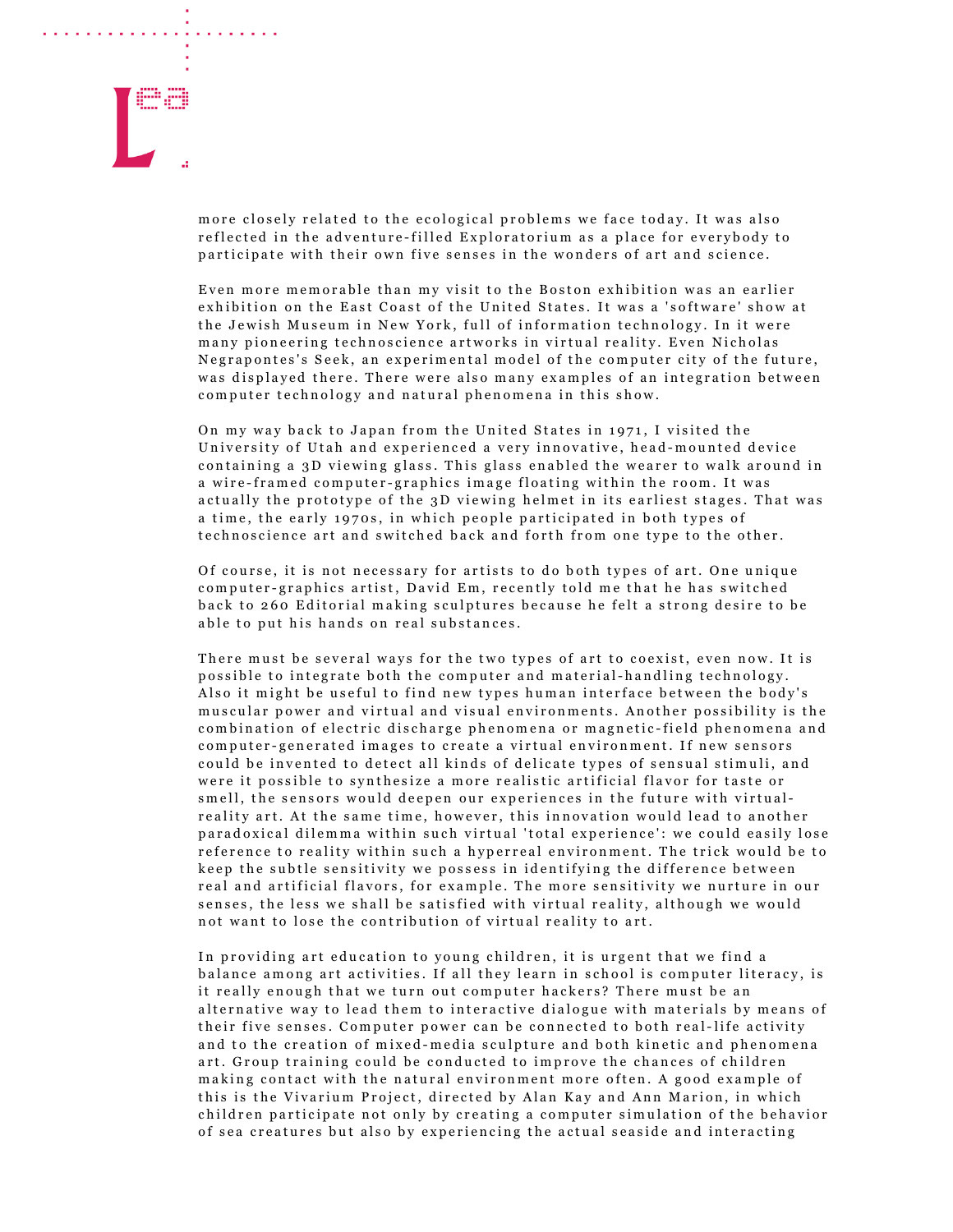

a construction of the construction of the construction of the construction of the construction of the construction of the construction of the construction of the construction of the construction of the construction of the

more closely related to the ecological problems we face today. It was also reflected in the adventure-filled Exploratorium as a place for everybody to participate with their own five senses in the wonders of art and science.

Even more memorable than my visit to the Boston exhibition was an earlier exhibition on the East Coast of the United States. It was a 'software' show at the Jewish Museum in New York, full of information technology. In it were many pioneering technoscience artworks in virtual reality. Even Nicholas Negrapontes's Seek, an experimental model of the computer city of the future, was displayed there. There were also many examples of an integration between computer technology and natural phenomena in this show.

On my way back to Japan from the United States in 1971, I visited the University of Utah and experienced a very innovative, head-mounted device containing a 3D viewing glass. This glass enabled the wearer to walk around in a wire-framed computer-graphics image floating within the room. It was actually the prototype of the 3D viewing helmet in its earliest stages. That was a time, the early 1970s, in which people participated in both types of te chnoscience art and switched back and forth from one type to the other.

Of course, it is not necessary for artists to do both types of art. One unique computer-graphics artist, David Em, recently told me that he has switched back to 260 Editorial making sculptures because he felt a strong desire to be able to put his hands on real substances.

There must be several ways for the two types of art to coexist, even now. It is possible to integrate both the computer and material-handling technology. Also it might be useful to find new types human interface between the body's muscular power and virtual and visual environments. Another possibility is the combination of electric discharge phenomena or magnetic-field phenomena and computer-generated images to create a virtual environment. If new sensors could be invented to detect all kinds of delicate types of sensual stimuli, and were it possible to synthesize a more realistic artificial flavor for taste or smell, the sensors would deepen our experiences in the future with virtualreality art. At the same time, however, this innovation would lead to another paradoxical dilemma within such virtual 'total experience': we could easily lose reference to reality within such a hyperreal environment. The trick would be to keep the subtle sensitivity we possess in identifying the difference between real and artificial flavors, for example. The more sensitivity we nurture in our senses, the less we shall be satisfied with virtual reality, although we would not want to lose the contribution of virtual reality to art.

In providing art education to young children, it is urgent that we find a balance among art activities. If all they learn in school is computer literacy, is it really enough that we turn out computer hackers? There must be an alternative way to lead them to interactive dialogue with materials by means of their five senses. Computer power can be connected to both real-life activity and to the creation of mixed-media sculpture and both kinetic and phenomena art. Group training could be conducted to improve the chances of children making contact with the natural environment more often. A good example of this is the Vivarium Project, directed by Alan Kay and Ann Marion, in which children participate not only by creating a computer simulation of the behavior of sea creatures but also by experiencing the actual seaside and interacting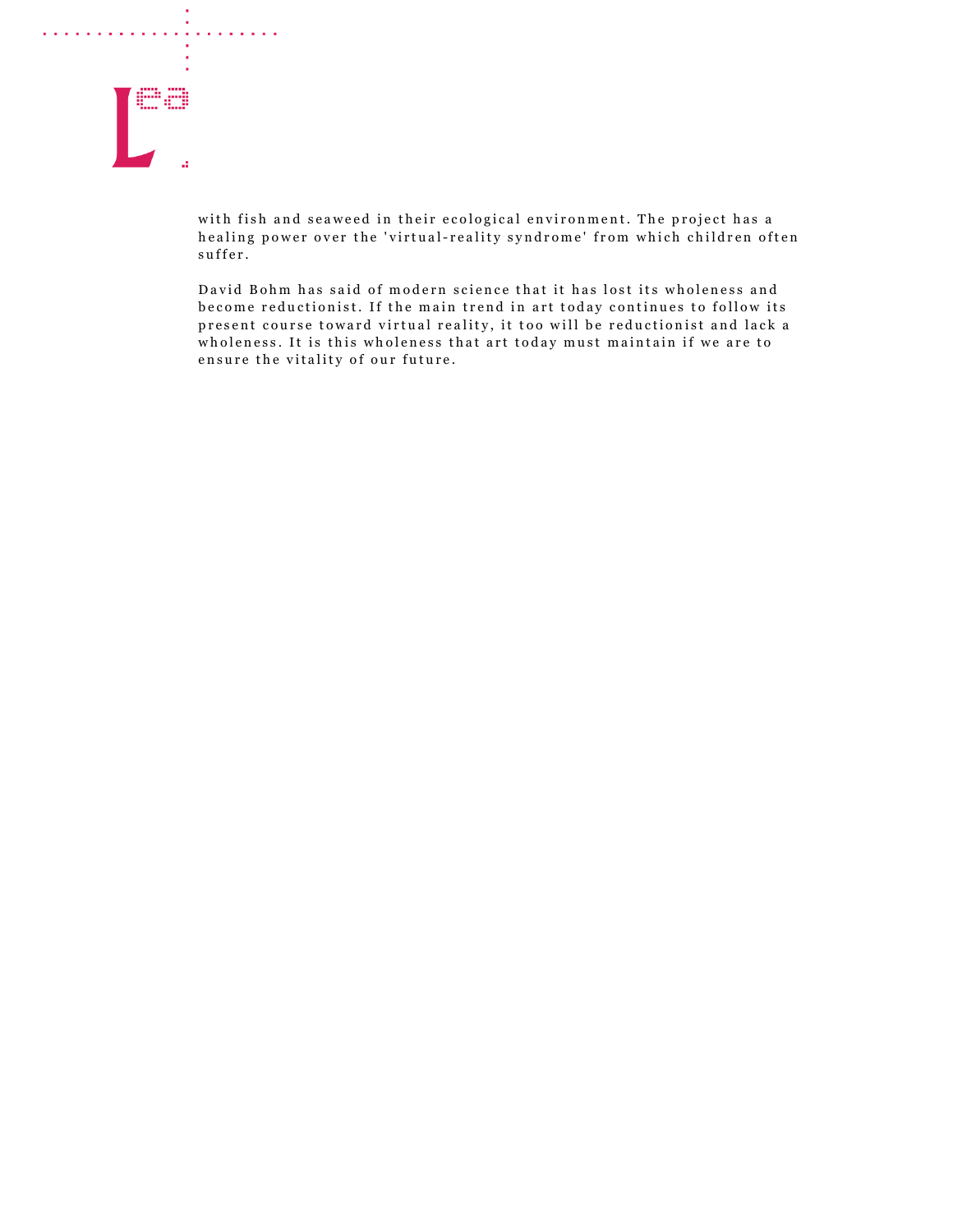

with fish and seaweed in their ecological environment. The project has a healing power over the 'virtual-reality syndrome' from which children often suffer.

David Bohm has said of modern science that it has lost its wholeness and become reductionist. If the main trend in art today continues to follow its present course toward virtual reality, it too will be reductionist and lack a wholeness. It is this wholeness that art today must maintain if we are to ensure the vitality of our future.